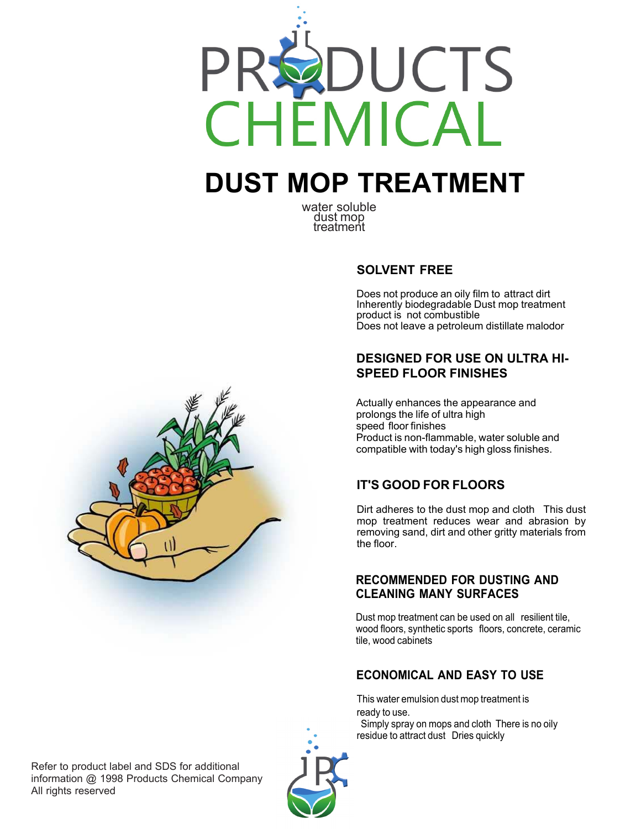

# **DUST MOP TREATMENT**

water soluble dust mop treatment

#### **SOLVENT FREE**

Does not produce an oily film to attract dirt Inherently biodegradable Dust mop treatment product is not combustible Does not leave a petroleum distillate malodor

#### **DESIGNED FOR USE ON ULTRA HI-SPEED FLOOR FINISHES**

Actually enhances the appearance and prolongs the life of ultra high speed floor finishes Product is non-flammable, water soluble and compatible with today's high gloss finishes.

# **IT'S GOOD FOR FLOORS**

Dirt adheres to the dust mop and cloth This dust mop treatment reduces wear and abrasion by removing sand, dirt and other gritty materials from the floor.

#### **RECOMMENDED FOR DUSTING AND CLEANING MANY SURFACES**

Dust mop treatment can be used on all resilient tile, wood floors, synthetic sports floors, concrete, ceramic tile, wood cabinets

#### **ECONOMICAL AND EASY TO USE**

This water emulsion dust mop treatment is ready to use.

 Simply spray on mops and cloth There is no oily residue to attract dust Dries quickly



Refer to product label and SDS for additional information @ 1998 Products Chemical Company All rights reserved